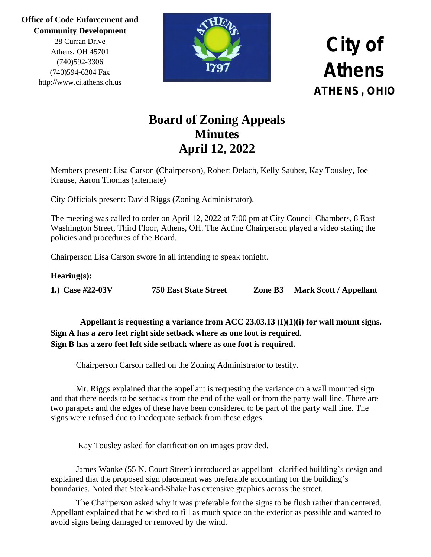> 28 Curran Drive Athens, OH 45701 (740)592-3306 (740)594-6304 Fax http://www.ci.athens.oh.us



### **City of Athens ATHENS, OHIO**

### **Board of Zoning Appeals Minutes April 12, 2022**

Members present: Lisa Carson (Chairperson), Robert Delach, Kelly Sauber, Kay Tousley, Joe Krause, Aaron Thomas (alternate)

City Officials present: David Riggs (Zoning Administrator).

The meeting was called to order on April 12, 2022 at 7:00 pm at City Council Chambers, 8 East Washington Street, Third Floor, Athens, OH. The Acting Chairperson played a video stating the policies and procedures of the Board.

Chairperson Lisa Carson swore in all intending to speak tonight.

#### **Hearing(s):**

**1.) Case #22-03V 750 East State Street Zone B3 Mark Scott / Appellant**

 **Appellant is requesting a variance from ACC 23.03.13 (I)(1)(i) for wall mount signs. Sign A has a zero feet right side setback where as one foot is required. Sign B has a zero feet left side setback where as one foot is required.**

Chairperson Carson called on the Zoning Administrator to testify.

Mr. Riggs explained that the appellant is requesting the variance on a wall mounted sign and that there needs to be setbacks from the end of the wall or from the party wall line. There are two parapets and the edges of these have been considered to be part of the party wall line. The signs were refused due to inadequate setback from these edges.

Kay Tousley asked for clarification on images provided.

James Wanke (55 N. Court Street) introduced as appellant– clarified building's design and explained that the proposed sign placement was preferable accounting for the building's boundaries. Noted that Steak-and-Shake has extensive graphics across the street.

The Chairperson asked why it was preferable for the signs to be flush rather than centered. Appellant explained that he wished to fill as much space on the exterior as possible and wanted to avoid signs being damaged or removed by the wind.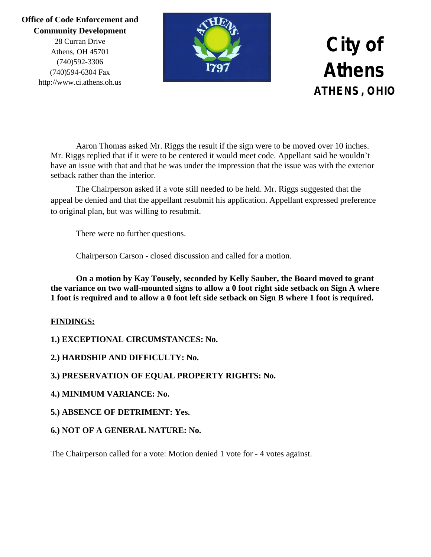28 Curran Drive Athens, OH 45701 (740)592-3306 (740)594-6304 Fax http://www.ci.athens.oh.us



## **City of Athens ATHENS, OHIO**

Aaron Thomas asked Mr. Riggs the result if the sign were to be moved over 10 inches. Mr. Riggs replied that if it were to be centered it would meet code. Appellant said he wouldn't have an issue with that and that he was under the impression that the issue was with the exterior setback rather than the interior.

The Chairperson asked if a vote still needed to be held. Mr. Riggs suggested that the appeal be denied and that the appellant resubmit his application. Appellant expressed preference to original plan, but was willing to resubmit.

There were no further questions.

Chairperson Carson - closed discussion and called for a motion.

**On a motion by Kay Tousely, seconded by Kelly Sauber, the Board moved to grant the variance on two wall-mounted signs to allow a 0 foot right side setback on Sign A where 1 foot is required and to allow a 0 foot left side setback on Sign B where 1 foot is required.**

#### **FINDINGS:**

**1.) EXCEPTIONAL CIRCUMSTANCES: No.**

**2.) HARDSHIP AND DIFFICULTY: No.**

**3.) PRESERVATION OF EQUAL PROPERTY RIGHTS: No.**

**4.) MINIMUM VARIANCE: No.**

**5.) ABSENCE OF DETRIMENT: Yes.**

**6.) NOT OF A GENERAL NATURE: No.**

The Chairperson called for a vote: Motion denied 1 vote for - 4 votes against.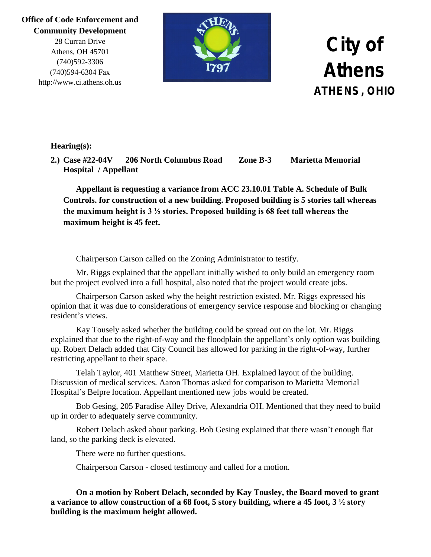28 Curran Drive Athens, OH 45701 (740)592-3306 (740)594-6304 Fax http://www.ci.athens.oh.us



## **City of Athens ATHENS, OHIO**

#### **Hearing(s):**

**2.) Case #22-04V 206 North Columbus Road Zone B-3 Marietta Memorial Hospital / Appellant** 

**Appellant is requesting a variance from ACC 23.10.01 Table A. Schedule of Bulk Controls. for construction of a new building. Proposed building is 5 stories tall whereas the maximum height is 3 ½ stories. Proposed building is 68 feet tall whereas the maximum height is 45 feet.**

Chairperson Carson called on the Zoning Administrator to testify.

Mr. Riggs explained that the appellant initially wished to only build an emergency room but the project evolved into a full hospital, also noted that the project would create jobs.

Chairperson Carson asked why the height restriction existed. Mr. Riggs expressed his opinion that it was due to considerations of emergency service response and blocking or changing resident's views.

Kay Tousely asked whether the building could be spread out on the lot. Mr. Riggs explained that due to the right-of-way and the floodplain the appellant's only option was building up. Robert Delach added that City Council has allowed for parking in the right-of-way, further restricting appellant to their space.

Telah Taylor, 401 Matthew Street, Marietta OH. Explained layout of the building. Discussion of medical services. Aaron Thomas asked for comparison to Marietta Memorial Hospital's Belpre location. Appellant mentioned new jobs would be created.

Bob Gesing, 205 Paradise Alley Drive, Alexandria OH. Mentioned that they need to build up in order to adequately serve community.

Robert Delach asked about parking. Bob Gesing explained that there wasn't enough flat land, so the parking deck is elevated.

There were no further questions.

Chairperson Carson - closed testimony and called for a motion.

**On a motion by Robert Delach, seconded by Kay Tousley, the Board moved to grant a variance to allow construction of a 68 foot, 5 story building, where a 45 foot, 3 ½ story building is the maximum height allowed.**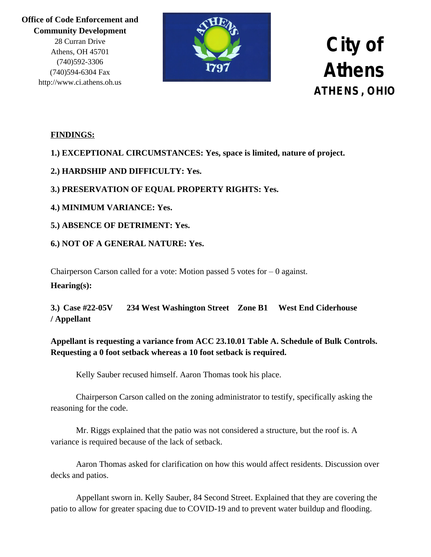> 28 Curran Drive Athens, OH 45701 (740)592-3306 (740)594-6304 Fax http://www.ci.athens.oh.us



## **City of Athens ATHENS, OHIO**

#### **FINDINGS:**

#### **1.) EXCEPTIONAL CIRCUMSTANCES: Yes, space is limited, nature of project.**

#### **2.) HARDSHIP AND DIFFICULTY: Yes.**

#### **3.) PRESERVATION OF EQUAL PROPERTY RIGHTS: Yes.**

#### **4.) MINIMUM VARIANCE: Yes.**

#### **5.) ABSENCE OF DETRIMENT: Yes.**

#### **6.) NOT OF A GENERAL NATURE: Yes.**

Chairperson Carson called for a vote: Motion passed 5 votes for  $-0$  against. **Hearing(s):**

**3.) Case #22-05V 234 West Washington Street Zone B1 West End Ciderhouse / Appellant**

#### **Appellant is requesting a variance from ACC 23.10.01 Table A. Schedule of Bulk Controls. Requesting a 0 foot setback whereas a 10 foot setback is required.**

Kelly Sauber recused himself. Aaron Thomas took his place.

Chairperson Carson called on the zoning administrator to testify, specifically asking the reasoning for the code.

Mr. Riggs explained that the patio was not considered a structure, but the roof is. A variance is required because of the lack of setback.

Aaron Thomas asked for clarification on how this would affect residents. Discussion over decks and patios.

Appellant sworn in. Kelly Sauber, 84 Second Street. Explained that they are covering the patio to allow for greater spacing due to COVID-19 and to prevent water buildup and flooding.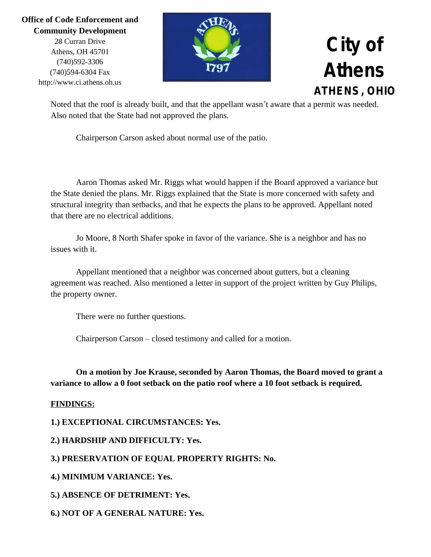28 Curran Drive Athens, OH 45701 (740)592-3306 (740)594-6304 Fax http://www.ci.athens.oh.us



### **City of Athens ATHENS, OHIO**

Noted that the roof is already built, and that the appellant wasn't aware that a permit was needed. Also noted that the State had not approved the plans.

Chairperson Carson asked about normal use of the patio.

Aaron Thomas asked Mr. Riggs what would happen if the Board approved a variance but the State denied the plans. Mr. Riggs explained that the State is more concerned with safety and structural integrity than setbacks, and that he expects the plans to be approved. Appellant noted that there are no electrical additions.

Jo Moore, 8 North Shafer spoke in favor of the variance. She is a neighbor and has no issues with it.

Appellant mentioned that a neighbor was concerned about gutters, but a cleaning agreement was reached. Also mentioned a letter in support of the project written by Guy Philips, the property owner.

There were no further questions.

Chairperson Carson – closed testimony and called for a motion.

**On a motion by Joe Krause, seconded by Aaron Thomas, the Board moved to grant a variance to allow a 0 foot setback on the patio roof where a 10 foot setback is required.**

#### **FINDINGS:**

**1.) EXCEPTIONAL CIRCUMSTANCES: Yes.**

**2.) HARDSHIP AND DIFFICULTY: Yes.**

**3.) PRESERVATION OF EQUAL PROPERTY RIGHTS: No.**

**4.) MINIMUM VARIANCE: Yes.**

**5.) ABSENCE OF DETRIMENT: Yes.**

**6.) NOT OF A GENERAL NATURE: Yes.**